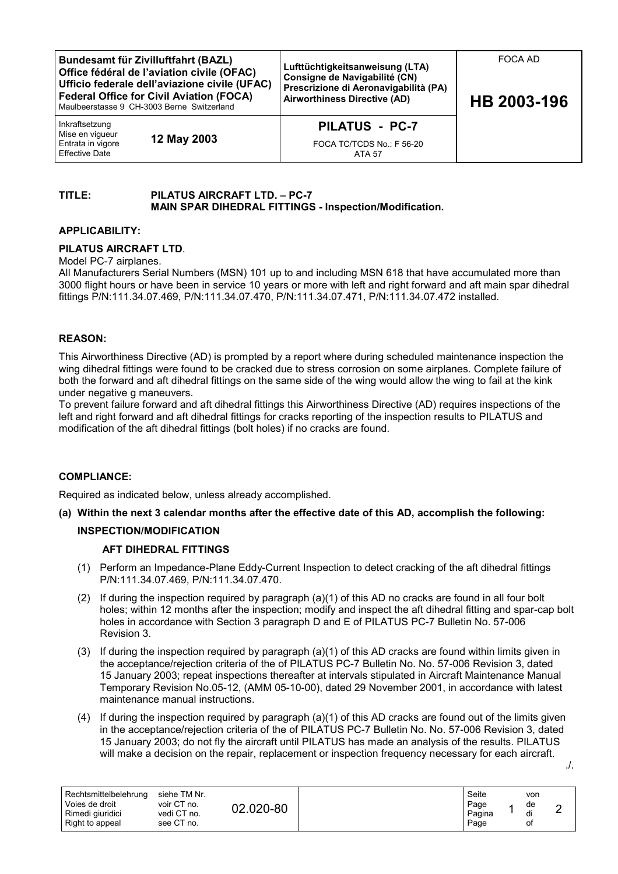**Bundesamt für Zivilluftfahrt (BAZL) Office fédéral de l'aviation civile (OFAC) Ufficio federale dell'aviazione civile (UFAC) Federal Office for Civil Aviation (FOCA)** Maulbeerstasse 9 CH-3003 Berne Switzerland **Lufttüchtigkeitsanweisung (LTA) Consigne de Navigabilité (CN) Prescrizione di Aeronavigabilità (PA) Airworthiness Directive (AD)** Inkraftsetzung Mise en vigueur Entrata in vigore Effective Date **12 May 2003 PILATUS - PC-7** FOCA TC/TCDS No.: F 56-20 ATA 57 FOCA AD **HB 2003-196**

# **TITLE: PILATUS AIRCRAFT LTD. – PC-7 MAIN SPAR DIHEDRAL FITTINGS - Inspection/Modification.**

## **APPLICABILITY:**

## **PILATUS AIRCRAFT LTD**.

Model PC-7 airplanes.

All Manufacturers Serial Numbers (MSN) 101 up to and including MSN 618 that have accumulated more than 3000 flight hours or have been in service 10 years or more with left and right forward and aft main spar dihedral fittings P/N:111.34.07.469, P/N:111.34.07.470, P/N:111.34.07.471, P/N:111.34.07.472 installed.

## **REASON:**

This Airworthiness Directive (AD) is prompted by a report where during scheduled maintenance inspection the wing dihedral fittings were found to be cracked due to stress corrosion on some airplanes. Complete failure of both the forward and aft dihedral fittings on the same side of the wing would allow the wing to fail at the kink under negative g maneuvers.

To prevent failure forward and aft dihedral fittings this Airworthiness Directive (AD) requires inspections of the left and right forward and aft dihedral fittings for cracks reporting of the inspection results to PILATUS and modification of the aft dihedral fittings (bolt holes) if no cracks are found.

#### **COMPLIANCE:**

Required as indicated below, unless already accomplished.

**(a) Within the next 3 calendar months after the effective date of this AD, accomplish the following:**

# **INSPECTION/MODIFICATION**

#### **AFT DIHEDRAL FITTINGS**

- (1) Perform an Impedance-Plane Eddy-Current Inspection to detect cracking of the aft dihedral fittings P/N:111.34.07.469, P/N:111.34.07.470.
- (2) If during the inspection required by paragraph (a)(1) of this AD no cracks are found in all four bolt holes; within 12 months after the inspection; modify and inspect the aft dihedral fitting and spar-cap bolt holes in accordance with Section 3 paragraph D and E of PILATUS PC-7 Bulletin No. 57-006 Revision 3.
- (3) If during the inspection required by paragraph (a)(1) of this AD cracks are found within limits given in the acceptance/rejection criteria of the of PILATUS PC-7 Bulletin No. No. 57-006 Revision 3, dated 15 January 2003; repeat inspections thereafter at intervals stipulated in Aircraft Maintenance Manual Temporary Revision No.05-12, (AMM 05-10-00), dated 29 November 2001, in accordance with latest maintenance manual instructions.
- (4) If during the inspection required by paragraph (a)(1) of this AD cracks are found out of the limits given in the acceptance/rejection criteria of the of PILATUS PC-7 Bulletin No. No. 57-006 Revision 3, dated 15 January 2003; do not fly the aircraft until PILATUS has made an analysis of the results. PILATUS will make a decision on the repair, replacement or inspection frequency necessary for each aircraft.

| Rechtsmittelbelehrung<br>Voies de droit<br>Rimedi giuridici<br>Right to appeal | siehe TM Nr.<br>voir CT no.<br>vedi CT no.<br>see CT no. | 02.020-80 |  | Seite<br>Page<br>Pagina<br>Page |  | von<br>de<br>di<br>οt |  |
|--------------------------------------------------------------------------------|----------------------------------------------------------|-----------|--|---------------------------------|--|-----------------------|--|
|--------------------------------------------------------------------------------|----------------------------------------------------------|-----------|--|---------------------------------|--|-----------------------|--|

./.